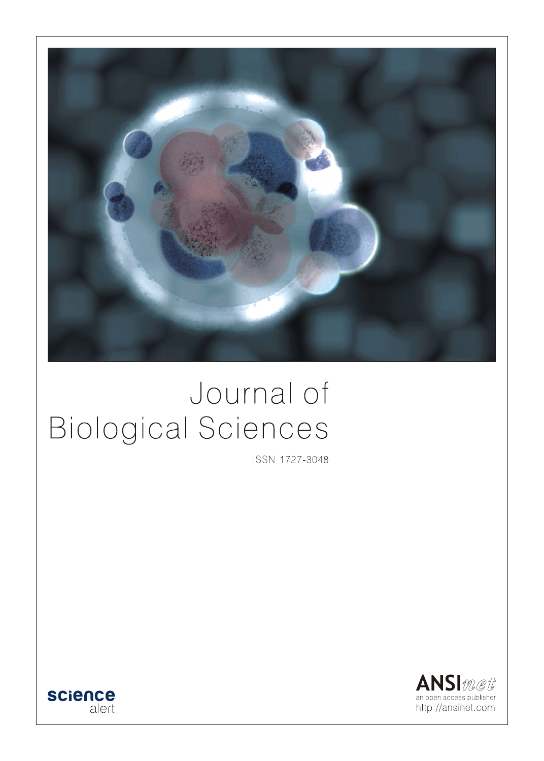

# Journal of **Biological Sciences**

ISSN 1727-3048



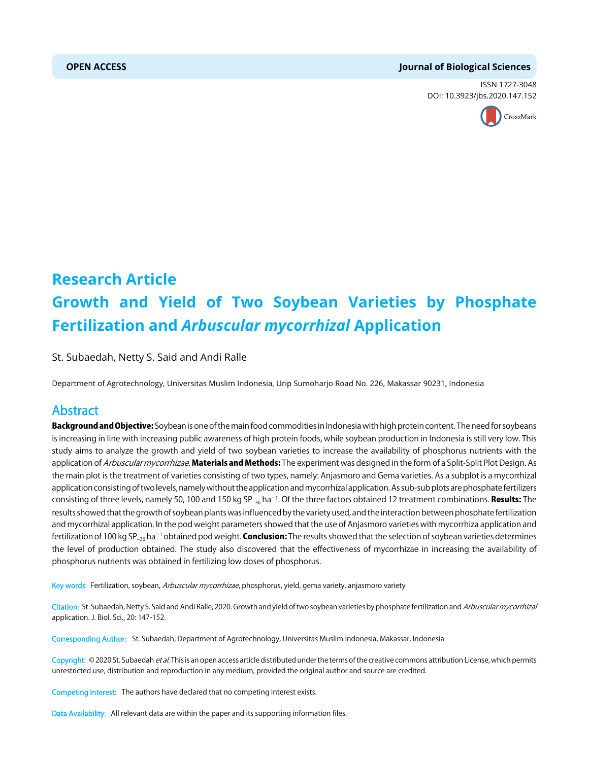#### **OPEN ACCESS Journal of Biological Sciences**

ISSN 1727-3048 DOI: 10.3923/jbs.2020.147.152



## **Research Article Growth and Yield of Two Soybean Varieties by Phosphate Fertilization and** *Arbuscular mycorrhizal* **Application**

St. Subaedah, Netty S. Said and Andi Ralle

Department of Agrotechnology, Universitas Muslim Indonesia, Urip Sumoharjo Road No. 226, Makassar 90231, Indonesia

### Abstract

Background and Objective: Soybean is one of the main food commodities in Indonesia with high protein content. The need for soybeans is increasing in line with increasing public awareness of high protein foods, while soybean production in Indonesia is still very low. This study aims to analyze the growth and yield of two soybean varieties to increase the availability of phosphorus nutrients with the application of Arbuscular mycorrhizae. Materials and Methods: The experiment was designed in the form of a Split-Split Plot Design. As the main plot is the treatment of varieties consisting of two types, namely: Anjasmoro and Gema varieties. As a subplot is a mycorrhizal application consisting of two levels, namely without the application and mycorrhizal application. As sub-sub plots are phosphate fertilizers consisting of three levels, namely 50, 100 and 150 kg SP<sub>-36</sub> ha<sup>-1</sup>. Of the three factors obtained 12 treatment combinations. **Results:** The results showed that the growth of soybean plants was influenced by the variety used, and the interaction between phosphate fertilization and mycorrhizal application. In the pod weight parameters showed that the use of Anjasmoro varieties with mycorrhiza application and fertilization of 100 kg SP<sub>–36</sub> ha<sup>–1</sup> obtained pod weight. **Conclusion:** The results showed that the selection of soybean varieties determines the level of production obtained. The study also discovered that the effectiveness of mycorrhizae in increasing the availability of phosphorus nutrients was obtained in fertilizing low doses of phosphorus.

Key words: Fertilization, soybean, Arbuscular mycorrhizae, phosphorus, yield, gema variety, anjasmoro variety

Citation: St. Subaedah, Netty S. Said and Andi Ralle, 2020. Growth and yield of two soybean varieties by phosphate fertilization and Arbuscular mycorrhizal application. J. Biol. Sci., 20: 147-152.

Corresponding Author: St. Subaedah, Department of Agrotechnology, Universitas Muslim Indonesia, Makassar, Indonesia

Copyright: © 2020 St. Subaedah et al. This is an open access article distributed under the terms of the creative commons attribution License, which permits unrestricted use, distribution and reproduction in any medium, provided the original author and source are credited.

Competing Interest: The authors have declared that no competing interest exists.

Data Availability: All relevant data are within the paper and its supporting information files.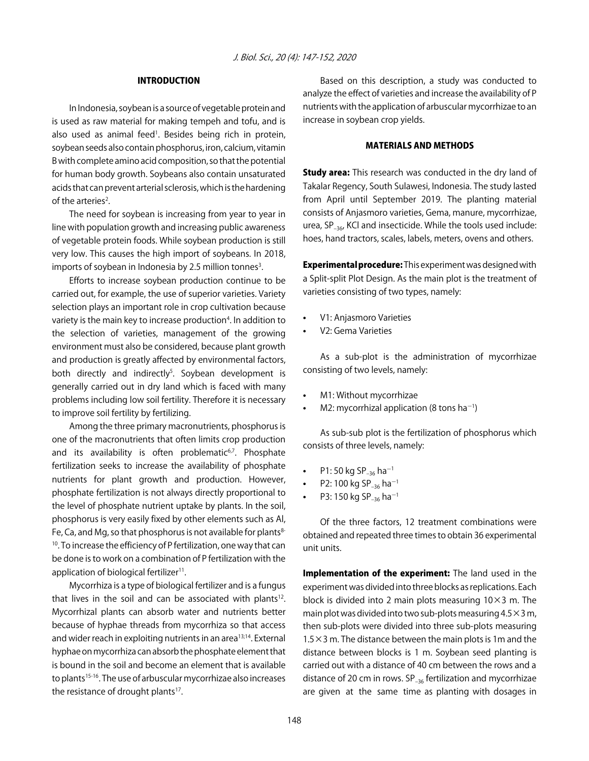#### INTRODUCTION

In Indonesia, soybean is a source of vegetable protein and is used as raw material for making tempeh and tofu, and is also used as animal feed<sup>1</sup>. Besides being rich in protein, soybean seeds also contain phosphorus, iron, calcium, vitamin B with complete amino acid composition, so that the potential for human body growth. Soybeans also contain unsaturated acids that can prevent arterial sclerosis, which is the hardening of the arteries<sup>2</sup>.

The need for soybean is increasing from year to year in line with population growth and increasing public awareness of vegetable protein foods. While soybean production is still very low. This causes the high import of soybeans. In 2018, imports of soybean in Indonesia by 2.5 million tonnes<sup>3</sup>.

Efforts to increase soybean production continue to be carried out, for example, the use of superior varieties. Variety selection plays an important role in crop cultivation because variety is the main key to increase production<sup>4</sup>. In addition to the selection of varieties, management of the growing environment must also be considered, because plant growth and production is greatly affected by environmental factors, both directly and indirectly<sup>5</sup>. Soybean development is generally carried out in dry land which is faced with many problems including low soil fertility. Therefore it is necessary to improve soil fertility by fertilizing.

Among the three primary macronutrients, phosphorus is one of the macronutrients that often limits crop production and its availability is often problematic<sup>6,7</sup>. Phosphate fertilization seeks to increase the availability of phosphate nutrients for plant growth and production. However, phosphate fertilization is not always directly proportional to the level of phosphate nutrient uptake by plants. In the soil, phosphorus is very easily fixed by other elements such as Al, Fe, Ca, and Mg, so that phosphorus is not available for plants $8 10$ . To increase the efficiency of P fertilization, one way that can be done is to work on a combination of P fertilization with the application of biological fertilizer<sup>11</sup>.

Mycorrhiza is a type of biological fertilizer and is a fungus that lives in the soil and can be associated with plants<sup>12</sup>. Mycorrhizal plants can absorb water and nutrients better because of hyphae threads from mycorrhiza so that access and wider reach in exploiting nutrients in an area<sup>13;14</sup>. External hyphae on mycorrhiza can absorb the phosphate element that is bound in the soil and become an element that is available to plants<sup>15-16</sup>. The use of arbuscular mycorrhizae also increases the resistance of drought plants<sup>17</sup>.

Based on this description, a study was conducted to analyze the effect of varieties and increase the availability of P nutrients with the application of arbuscular mycorrhizae to an increase in soybean crop yields.

#### MATERIALS AND METHODS

**Study area:** This research was conducted in the dry land of Takalar Regency, South Sulawesi, Indonesia. The study lasted from April until September 2019. The planting material consists of Anjasmoro varieties, Gema, manure, mycorrhizae, urea, SP<sub>-36</sub>, KCl and insecticide. While the tools used include: hoes, hand tractors, scales, labels, meters, ovens and others.

Experimental procedure: This experiment was designed with a Split-split Plot Design. As the main plot is the treatment of varieties consisting of two types, namely:

- V1: Anjasmoro Varieties
- V<sub>2</sub>: Gema Varieties

As a sub-plot is the administration of mycorrhizae consisting of two levels, namely:

- M1: Without mycorrhizae
- M2: mycorrhizal application (8 tons ha<sup>-1</sup>)

As sub-sub plot is the fertilization of phosphorus which consists of three levels, namely:

- P1: 50 kg SP<sub>-36</sub> ha<sup>-1</sup>
- P2: 100 kg SP<sub>-36</sub> ha<sup>-1</sup>
- P3: 150 kg SP<sub>-36</sub> ha<sup>-1</sup>

Of the three factors, 12 treatment combinations were obtained and repeated three times to obtain 36 experimental unit units.

Implementation of the experiment: The land used in the experiment was divided into three blocks as replications. Each block is divided into 2 main plots measuring  $10\times3$  m. The main plot was divided into two sub-plots measuring  $4.5 \times 3$  m, then sub-plots were divided into three sub-plots measuring 1.5 $\times$ 3 m. The distance between the main plots is 1m and the distance between blocks is 1 m. Soybean seed planting is carried out with a distance of 40 cm between the rows and a distance of 20 cm in rows.  $SP_{-36}$  fertilization and mycorrhizae are given at the same time as planting with dosages in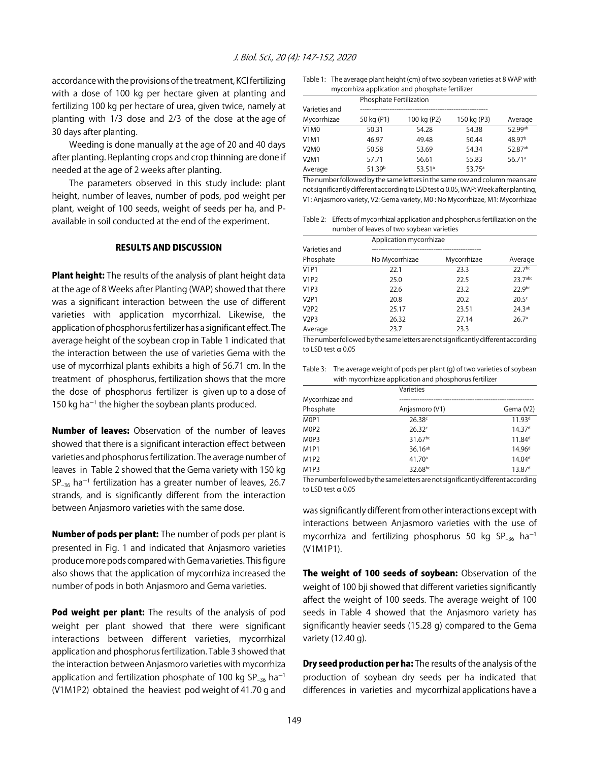accordance with the provisions of the treatment, KCl fertilizing with a dose of 100 kg per hectare given at planting and fertilizing 100 kg per hectare of urea, given twice, namely at planting with 1/3 dose and 2/3 of the dose at the age of 30 days after planting.

Weeding is done manually at the age of 20 and 40 days after planting. Replanting crops and crop thinning are done if needed at the age of 2 weeks after planting.

The parameters observed in this study include: plant height, number of leaves, number of pods, pod weight per plant, weight of 100 seeds, weight of seeds per ha, and Pavailable in soil conducted at the end of the experiment.

#### RESULTS AND DISCUSSION

**Plant height:** The results of the analysis of plant height data at the age of 8 Weeks after Planting (WAP) showed that there was a significant interaction between the use of different varieties with application mycorrhizal. Likewise, the application of phosphorus fertilizer has a significant effect. The average height of the soybean crop in Table 1 indicated that the interaction between the use of varieties Gema with the use of mycorrhizal plants exhibits a high of 56.71 cm. In the treatment of phosphorus, fertilization shows that the more the dose of phosphorus fertilizer is given up to a dose of  $150$  kg ha<sup>-1</sup> the higher the soybean plants produced.

Number of leaves: Observation of the number of leaves showed that there is a significant interaction effect between varieties and phosphorus fertilization. The average number of leaves in Table 2 showed that the Gema variety with 150 kg  $SP_{-36}$  ha $^{-1}$  fertilization has a greater number of leaves, 26.7 strands, and is significantly different from the interaction between Anjasmoro varieties with the same dose.

Number of pods per plant: The number of pods per plant is presented in Fig. 1 and indicated that Anjasmoro varieties produce more pods compared with Gema varieties. This figure also shows that the application of mycorrhiza increased the number of pods in both Anjasmoro and Gema varieties.

Pod weight per plant: The results of the analysis of pod weight per plant showed that there were significant interactions between different varieties, mycorrhizal application and phosphorus fertilization. Table 3 showed that the interaction between Anjasmoro varieties with mycorrhiza application and fertilization phosphate of 100 kg  $SP_{-36}$  ha<sup>-1</sup> (V1M1P2) obtained the heaviest pod weight of 41.70 g and

Table 1: The average plant height (cm) of two soybean varieties at 8 WAP with mycorrhiza application and phosphate fertilizer

|                               | Phosphate Fertilization |                      |                 |                       |
|-------------------------------|-------------------------|----------------------|-----------------|-----------------------|
| Varieties and                 |                         |                      |                 |                       |
| Mycorrhizae                   | 50 kg (P1)              | 100 kg (P2)          | 150 kg (P3)     | Average               |
| V1M0                          | 50.31                   | 54.28                | 54.38           | $52.99$ <sup>ab</sup> |
| V1M1                          | 46.97                   | 49.48                | 50.44           | 48.97 <sup>b</sup>    |
| V <sub>2</sub> M <sub>0</sub> | 50.58                   | 53.69                | 54.34           | 52.87ab               |
| V2M1                          | 57.71                   | 56.61                | 55.83           | 56.71a                |
| Average                       | 51.39 <sup>b</sup>      | $53.51$ <sup>a</sup> | $53.75^{\circ}$ |                       |

The number followed by the same letters in the same row and column means are not significantly different according to LSD test  $\alpha$  0.05, WAP: Week after planting, V1: Anjasmoro variety, V2: Gema variety, M0 : No Mycorrhizae, M1: Mycorrhizae

Table 2: Effects of mycorrhizal application and phosphorus fertilization on the number of leaves of two soybean varieties

|               | Application mycorrhizae |             |                    |  |
|---------------|-------------------------|-------------|--------------------|--|
| Varieties and |                         |             |                    |  |
| Phosphate     | No Mycorrhizae          | Mycorrhizae | Average            |  |
| <b>V1P1</b>   | 22.1                    | 23.3        | 22.7bc             |  |
| <b>V1P2</b>   | 25.0                    | 22.5        | 23.7abc            |  |
| <b>V1P3</b>   | 22.6                    | 23.2        | 22.9 <sub>bc</sub> |  |
| <b>V2P1</b>   | 20.8                    | 20.2        | 20.5 <sup>c</sup>  |  |
| V2P2          | 25.17                   | 23.51       | 24.3 <sup>ab</sup> |  |
| V2P3          | 26.32                   | 27.14       | 26.7 <sup>a</sup>  |  |
| Average       | 23.7                    | 23.3        |                    |  |

The number followed by the same letters are not significantly different according to LSD test  $\alpha$  0.05

Table 3: The average weight of pods per plant (g) of two varieties of soybean with mycorrhizae application and phosphorus fertilizer

|                               | Varieties          |                    |
|-------------------------------|--------------------|--------------------|
| Mycorrhizae and               |                    |                    |
| Phosphate                     | Anjasmoro (V1)     | Gema (V2)          |
| M <sub>OP</sub> 1             | 26.38c             | 11.93 <sup>d</sup> |
| M <sub>O</sub> P <sub>2</sub> | 26.32c             | 14.37 <sup>d</sup> |
| M <sub>O</sub> P <sub>3</sub> | 31.67bc            | 11.84 <sup>d</sup> |
| M1P1                          | $36.16^{ab}$       | 14.96 <sup>d</sup> |
| M1P2                          | 41.70 <sup>a</sup> | 14.04 <sup>d</sup> |
| M1P3                          | 32.68bc            | 13.87 <sup>d</sup> |

The number followed by the same letters are not significantly different according to LSD test  $\alpha$  0.05

was significantly different from other interactions except with interactions between Anjasmoro varieties with the use of mycorrhiza and fertilizing phosphorus 50 kg SP<sub>-36</sub> ha<sup>-1</sup> (V1M1P1).

The weight of 100 seeds of soybean: Observation of the weight of 100 bji showed that different varieties significantly affect the weight of 100 seeds. The average weight of 100 seeds in Table 4 showed that the Anjasmoro variety has significantly heavier seeds (15.28 g) compared to the Gema variety (12.40 g).

Dry seed production per ha: The results of the analysis of the production of soybean dry seeds per ha indicated that differences in varieties and mycorrhizal applications have a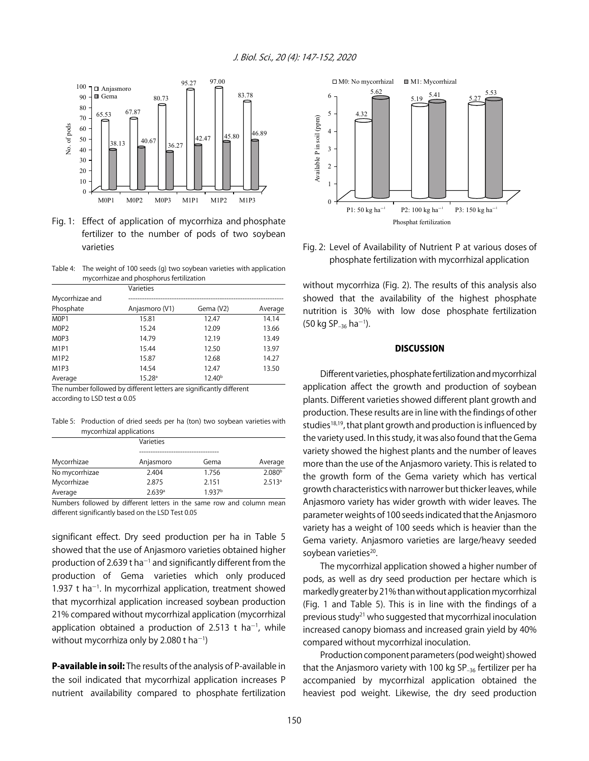

Fig. 1: Effect of application of mycorrhiza and phosphate fertilizer to the number of pods of two soybean varieties

Table 4: The weight of 100 seeds (g) two soybean varieties with application mycorrhizae and phosphorus fertilization

|                               | Varieties          |                    |         |
|-------------------------------|--------------------|--------------------|---------|
| Mycorrhizae and               |                    |                    |         |
| Phosphate                     | Anjasmoro (V1)     | Gema (V2)          | Average |
| M0P1                          | 15.81              | 12.47              | 14.14   |
| M <sub>0</sub> P <sub>2</sub> | 15.24              | 12.09              | 13.66   |
| M <sub>0</sub> P <sub>3</sub> | 14.79              | 12.19              | 13.49   |
| <b>M1P1</b>                   | 15.44              | 12.50              | 13.97   |
| M1P2                          | 15.87              | 12.68              | 14.27   |
| M1P3                          | 14.54              | 12.47              | 13.50   |
| Average                       | 15.28 <sup>a</sup> | 12.40 <sup>b</sup> |         |

The number followed by different letters are significantly different according to LSD test  $\alpha$  0.05

Table 5: Production of dried seeds per ha (ton) two soybean varieties with mycorrhizal applications

|                | Varieties |                    |                    |
|----------------|-----------|--------------------|--------------------|
|                |           |                    |                    |
| Mycorrhizae    | Anjasmoro | Gema               | Average            |
| No mycorrhizae | 2.404     | 1.756              | 2.080 <sup>b</sup> |
| Mycorrhizae    | 2.875     | 2.151              | 2.513a             |
| Average        | 2.639a    | 1.937 <sup>b</sup> |                    |

Numbers followed by different letters in the same row and column mean different significantly based on the LSD Test 0.05

significant effect. Dry seed production per ha in Table 5 showed that the use of Anjasmoro varieties obtained higher production of 2.639 t ha<sup>-1</sup> and significantly different from the production of Gema varieties which only produced  $1.937$  t ha<sup>-1</sup>. In mycorrhizal application, treatment showed that mycorrhizal application increased soybean production 21% compared without mycorrhizal application (mycorrhizal application obtained a production of 2.513 t ha<sup>-1</sup>, while without mycorrhiza only by 2.080 t $\,$ ha $^{-1}$ )

**P-available in soil:** The results of the analysis of P-available in the soil indicated that mycorrhizal application increases P nutrient availability compared to phosphate fertilization



Fig. 2: Level of Availability of Nutrient P at various doses of phosphate fertilization with mycorrhizal application

without mycorrhiza (Fig. 2). The results of this analysis also showed that the availability of the highest phosphate nutrition is 30% with low dose phosphate fertilization (50 kg SP<sub>-36</sub> ha<sup>-1</sup>).

#### **DISCUSSION**

Different varieties, phosphate fertilization and mycorrhizal application affect the growth and production of soybean plants. Different varieties showed different plant growth and production. These results are in line with the findings of other studies $18,19$ , that plant growth and production is influenced by the variety used. In this study, it was also found that the Gema variety showed the highest plants and the number of leaves more than the use of the Anjasmoro variety. This is related to the growth form of the Gema variety which has vertical growth characteristics with narrower but thicker leaves, while Anjasmoro variety has wider growth with wider leaves. The parameter weights of 100 seeds indicated that the Anjasmoro variety has a weight of 100 seeds which is heavier than the Gema variety. Anjasmoro varieties are large/heavy seeded soybean varieties<sup>20</sup>.

The mycorrhizal application showed a higher number of pods, as well as dry seed production per hectare which is markedly greater by 21% than without application mycorrhizal (Fig. 1 and Table 5). This is in line with the findings of a previous study21 who suggested that mycorrhizal inoculation increased canopy biomass and increased grain yield by 40% compared without mycorrhizal inoculation.

Production component parameters (pod weight) showed that the Anjasmoro variety with 100 kg SP $_{-36}$  fertilizer per ha accompanied by mycorrhizal application obtained the heaviest pod weight. Likewise, the dry seed production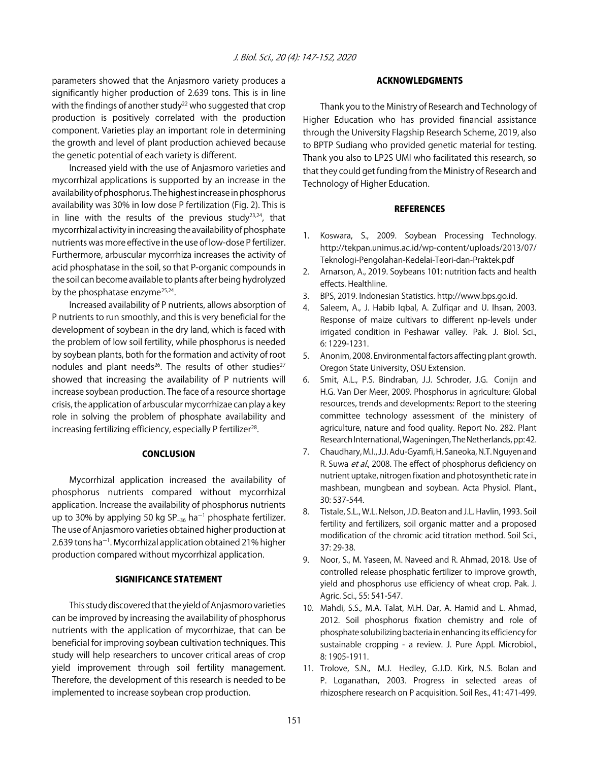parameters showed that the Anjasmoro variety produces a significantly higher production of 2.639 tons. This is in line with the findings of another study<sup>22</sup> who suggested that crop production is positively correlated with the production component. Varieties play an important role in determining the growth and level of plant production achieved because the genetic potential of each variety is different.

Increased yield with the use of Anjasmoro varieties and mycorrhizal applications is supported by an increase in the availability of phosphorus. The highest increase in phosphorus availability was 30% in low dose P fertilization (Fig. 2). This is in line with the results of the previous study $23,24$ , that mycorrhizal activity in increasing the availability of phosphate nutrients was more effective in the use of low-dose P fertilizer. Furthermore, arbuscular mycorrhiza increases the activity of acid phosphatase in the soil, so that P-organic compounds in the soil can become available to plants after being hydrolyzed by the phosphatase enzyme<sup>25,24</sup>.

Increased availability of P nutrients, allows absorption of P nutrients to run smoothly, and this is very beneficial for the development of soybean in the dry land, which is faced with the problem of low soil fertility, while phosphorus is needed by soybean plants, both for the formation and activity of root nodules and plant needs<sup>26</sup>. The results of other studies<sup>27</sup> showed that increasing the availability of P nutrients will increase soybean production. The face of a resource shortage crisis, the application of arbuscular mycorrhizae can play a key role in solving the problem of phosphate availability and increasing fertilizing efficiency, especially P fertilizer<sup>28</sup>.

#### **CONCLUSION**

Mycorrhizal application increased the availability of phosphorus nutrients compared without mycorrhizal application. Increase the availability of phosphorus nutrients up to 30% by applying 50 kg SP $_{-36}$  ha<sup> $-1$ </sup> phosphate fertilizer. The use of Anjasmoro varieties obtained higher production at 2.639 tons ha<sup>-1</sup>. Mycorrhizal application obtained 21% higher production compared without mycorrhizal application.

#### SIGNIFICANCE STATEMENT

This study discovered that the yield of Anjasmoro varieties can be improved by increasing the availability of phosphorus nutrients with the application of mycorrhizae, that can be beneficial for improving soybean cultivation techniques. This study will help researchers to uncover critical areas of crop yield improvement through soil fertility management. Therefore, the development of this research is needed to be implemented to increase soybean crop production.

#### ACKNOWLEDGMENTS

Thank you to the Ministry of Research and Technology of Higher Education who has provided financial assistance through the University Flagship Research Scheme, 2019, also to BPTP Sudiang who provided genetic material for testing. Thank you also to LP2S UMI who facilitated this research, so that they could get funding from the Ministry of Research and Technology of Higher Education.

#### **REFERENCES**

- 1. Koswara, S., 2009. Soybean Processing Technology. http://tekpan.unimus.ac.id/wp-content/uploads/2013/07/ Teknologi-Pengolahan-Kedelai-Teori-dan-Praktek.pdf
- 2. Arnarson, A., 2019. Soybeans 101: nutrition facts and health effects. Healthline.
- 3. BPS, 2019. Indonesian Statistics. http://www.bps.go.id.
- 4. Saleem, A., J. Habib Iqbal, A. Zulfiqar and U. Ihsan, 2003. Response of maize cultivars to different np-levels under irrigated condition in Peshawar valley. Pak. J. Biol. Sci., 6: 1229-1231.
- 5. Anonim, 2008. Environmental factors affecting plant growth. Oregon State University, OSU Extension.
- 6. Smit, A.L., P.S. Bindraban, J.J. Schroder, J.G. Conijn and H.G. Van Der Meer, 2009. Phosphorus in agriculture: Global resources, trends and developments: Report to the steering committee technology assessment of the ministery of agriculture, nature and food quality. Report No. 282. Plant Research International, Wageningen, The Netherlands, pp: 42.
- 7. Chaudhary, M.I., J.J. Adu-Gyamfi, H. Saneoka, N.T. Nguyen and R. Suwa et al., 2008. The effect of phosphorus deficiency on nutrient uptake, nitrogen fixation and photosynthetic rate in mashbean, mungbean and soybean. Acta Physiol. Plant., 30: 537-544.
- 8. Tistale, S.L., W.L. Nelson, J.D. Beaton and J.L. Havlin, 1993. Soil fertility and fertilizers, soil organic matter and a proposed modification of the chromic acid titration method. Soil Sci., 37: 29-38.
- 9. Noor, S., M. Yaseen, M. Naveed and R. Ahmad, 2018. Use of controlled release phosphatic fertilizer to improve growth, yield and phosphorus use efficiency of wheat crop. Pak. J. Agric. Sci., 55: 541-547.
- 10. Mahdi, S.S., M.A. Talat, M.H. Dar, A. Hamid and L. Ahmad, 2012. Soil phosphorus fixation chemistry and role of phosphate solubilizing bacteria in enhancing its efficiency for sustainable cropping - a review. J. Pure Appl. Microbiol., 8: 1905-1911.
- 11. Trolove, S.N., M.J. Hedley, G.J.D. Kirk, N.S. Bolan and P. Loganathan, 2003. Progress in selected areas of rhizosphere research on P acquisition. Soil Res., 41: 471-499.